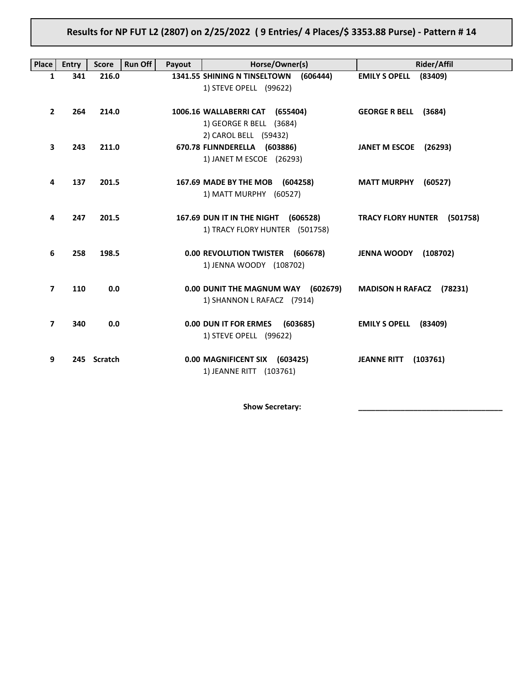# Results for NP FUT L2 (2807) on 2/25/2022 ( 9 Entries/ 4 Places/\$ 3353.88 Purse) - Pattern # 14

| <b>Place</b>   | <b>Entry</b> | <b>Score</b> | <b>Run Off</b><br>Payout | Horse/Owner(s)                                                                      | Rider/Affil                     |
|----------------|--------------|--------------|--------------------------|-------------------------------------------------------------------------------------|---------------------------------|
| 1              | 341          | 216.0        |                          | 1341.55 SHINING N TINSELTOWN<br>(606444)<br>1) STEVE OPELL (99622)                  | <b>EMILY S OPELL</b><br>(83409) |
| $\overline{2}$ | 264          | 214.0        |                          | 1006.16 WALLABERRI CAT (655404)<br>1) GEORGE R BELL (3684)<br>2) CAROL BELL (59432) | GEORGE R BELL (3684)            |
| 3              | 243          | 211.0        |                          | 670.78 FLINNDERELLA (603886)<br>1) JANET M ESCOE (26293)                            | JANET M ESCOE (26293)           |
| 4              | 137          | 201.5        |                          | 167.69 MADE BY THE MOB (604258)<br>1) MATT MURPHY (60527)                           | <b>MATT MURPHY</b><br>(60527)   |
| 4              | 247          | 201.5        |                          | 167.69 DUN IT IN THE NIGHT<br>(606528)<br>1) TRACY FLORY HUNTER (501758)            | TRACY FLORY HUNTER (501758)     |
| 6              | 258          | 198.5        |                          | 0.00 REVOLUTION TWISTER (606678)<br>1) JENNA WOODY (108702)                         | <b>JENNA WOODY (108702)</b>     |
| $\overline{7}$ | 110          | 0.0          |                          | 0.00 DUNIT THE MAGNUM WAY (602679)<br>1) SHANNON L RAFACZ (7914)                    | MADISON H RAFACZ (78231)        |
| $\overline{7}$ | 340          | 0.0          |                          | 0.00 DUN IT FOR ERMES (603685)<br>1) STEVE OPELL (99622)                            | <b>EMILY S OPELL</b><br>(83409) |
| 9              |              | 245 Scratch  |                          | 0.00 MAGNIFICENT SIX (603425)<br>1) JEANNE RITT (103761)                            | <b>JEANNE RITT</b><br>(103761)  |

Show Secretary: